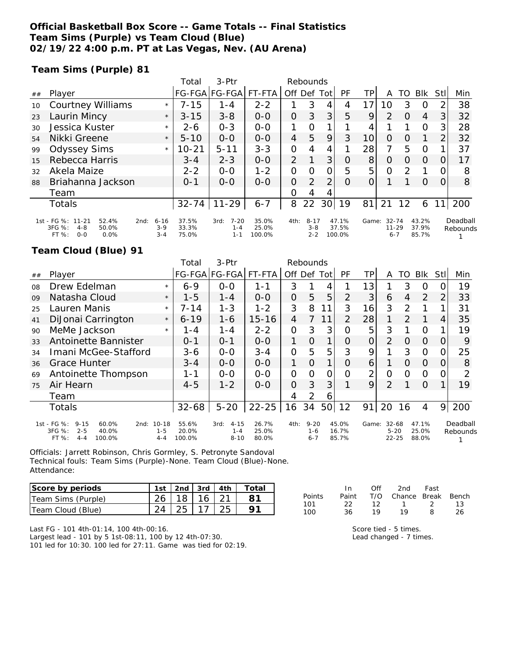### **Official Basketball Box Score -- Game Totals -- Final Statistics Team Sims (Purple) vs Team Cloud (Blue) 02/19/22 4:00 p.m. PT at Las Vegas, Nev. (AU Arena)**

#### **Team Sims (Purple) 81**

|    |                                                                                            |                              | Total                   | 3-Ptr                                  | Rebounds                 |                |                                |    |                          |                |                                   |          |                         |                |                      |
|----|--------------------------------------------------------------------------------------------|------------------------------|-------------------------|----------------------------------------|--------------------------|----------------|--------------------------------|----|--------------------------|----------------|-----------------------------------|----------|-------------------------|----------------|----------------------|
| ## | Player                                                                                     |                              |                         | FG-FGA FG-FGA                          | FT-FTA                   | Off Def Tot    |                                |    | <b>PF</b>                | TP             | A                                 | TO       | <b>BIK</b>              | StII           | Min                  |
| 10 | <b>Courtney Williams</b>                                                                   | $\star$                      | $7 - 15$                | $1 - 4$                                | $2 - 2$                  |                | 3                              | 4  | 4                        | 17             | 10                                | 3        | $\Omega$                | $\overline{2}$ | 38                   |
| 23 | Laurin Mincy                                                                               | $\star$                      | $3 - 15$                | $3 - 8$                                | $0 - 0$                  | 0              | 3                              | 3  | 5                        | 9              | 2                                 | 0        | $\overline{4}$          | 3              | 32                   |
| 30 | Jessica Kuster                                                                             | $\star$                      | 2-6                     | $0 - 3$                                | $0 - 0$                  | 1              | 0                              |    |                          | 4              |                                   |          | $\circ$                 | 3              | 28                   |
| 54 | Nikki Greene                                                                               | $\star$                      | $5 - 10$                | $0 - 0$                                | $0 - 0$                  | $\overline{4}$ | 5                              | 9  | 3                        | 10             | $\Omega$                          | O        |                         | $\overline{2}$ | 32                   |
| 99 | <b>Odyssey Sims</b>                                                                        | $\star$                      | $10 - 21$               | $5 - 11$                               | $3 - 3$                  | 0              | 4                              | 4  |                          | 28             | 7                                 | 5        | $\Omega$                |                | 37                   |
| 15 | Rebecca Harris                                                                             |                              | $3 - 4$                 | $2 - 3$                                | $0 - 0$                  | $\overline{2}$ |                                | 3  | O                        | 8 <sup>1</sup> | $\Omega$                          | $\Omega$ | $\Omega$                | 0              | 17                   |
| 32 | Akela Maize                                                                                |                              | $2 - 2$                 | $0 - 0$                                | $1 - 2$                  | 0              | 0                              | 0  | 5                        | 5              | $\Omega$                          | 2        |                         | Ω              | 8                    |
| 88 | Briahanna Jackson                                                                          |                              | $0 - 1$                 | $O-O$                                  | $O-O$                    | 0              | 2                              | 2  | $\Omega$                 | 0              |                                   |          | $\Omega$                | 0              | 8                    |
|    | Team                                                                                       |                              |                         |                                        |                          | $\Omega$       | 4                              | 4  |                          |                |                                   |          |                         |                |                      |
|    | Totals                                                                                     |                              | $32 - 74$               | $11 - 29$                              | $6 - 7$                  | 8              | 22                             | 30 | 19                       | 81             | 21                                | 12       | 6                       |                | 200                  |
|    | 1st - FG %: 11-21<br>52.4%<br>2nd:<br>3FG %:<br>$4 - 8$<br>50.0%<br>$O - O$<br>FT%<br>0.0% | $6 - 16$<br>$3-9$<br>$3 - 4$ | 37.5%<br>33.3%<br>75.0% | $7 - 20$<br>3rd:<br>$1 - 4$<br>$1 - 1$ | 35.0%<br>25.0%<br>100.0% | 4th:           | $8 - 17$<br>$3 - 8$<br>$2 - 2$ |    | 47.1%<br>37.5%<br>100.0% | Game:          | $32 - 74$<br>$11 - 29$<br>$6 - 7$ |          | 43.2%<br>37.9%<br>85.7% |                | Deadball<br>Rebounds |

### **Team Cloud (Blue) 91**

|    |                                                                                                            |                    | Total                    | 3-Ptr                                   |                         | Rebounds       |                                |     |                         |       |                                |          |                         |                  |                      |
|----|------------------------------------------------------------------------------------------------------------|--------------------|--------------------------|-----------------------------------------|-------------------------|----------------|--------------------------------|-----|-------------------------|-------|--------------------------------|----------|-------------------------|------------------|----------------------|
| ## | Player                                                                                                     |                    |                          | FG-FGA FG-FGA                           | FT-FTA                  | Off.           | Def                            | Tot | <b>PF</b>               | TР    | A                              | TO       | <b>BIK</b>              | Stll             | Min                  |
| 08 | Drew Edelman                                                                                               | $\star$            | $6 - 9$                  | $0 - 0$                                 | 1-1                     | 3              |                                | 4   |                         | 13    |                                | 3        | $\circ$                 |                  | 19                   |
| 09 | Natasha Cloud                                                                                              | $\star$            | $1 - 5$                  | $1 - 4$                                 | $0 - 0$                 | $\overline{O}$ | 5                              | 5   | $\overline{2}$          | 3     | 6                              | 4        | 2                       | 2                | 33                   |
| 25 | Lauren Manis                                                                                               | $\star$            | 7-14                     | $1 - 3$                                 | $1 - 2$                 | 3              | 8                              | 11  | 3                       | 16    | 3                              | 2        |                         |                  | 31                   |
| 41 | DiJonai Carrington                                                                                         | $\star$            | $6 - 19$                 | $1 - 6$                                 | $15 - 16$               | 4              | 7                              | 11  | $\mathcal{P}$           | 28    | 1                              | 2        | 1                       | 4                | 35                   |
| 90 | MeMe Jackson                                                                                               | $\star$            | 1 - 4                    | 1 - 4                                   | $2 - 2$                 | $\overline{O}$ | 3                              | 3   | Ο                       | 5     | 3                              |          | $\circ$                 |                  | 19                   |
| 33 | Antoinette Bannister                                                                                       |                    | $0 - 1$                  | $0 - 1$                                 | $0 - 0$                 | 1              | O                              |     | Ο                       | 0     | $\overline{2}$                 | O        | $\Omega$                | $\left( \right)$ | 9                    |
| 34 | Imani McGee-Stafford                                                                                       |                    | $3 - 6$                  | $0 - 0$                                 | $3 - 4$                 | 0              | 5                              | 5   | 3                       | 9     |                                | 3        | O                       |                  | 25                   |
| 36 | <b>Grace Hunter</b>                                                                                        |                    | $3 - 4$                  | $0 - 0$                                 | $0 - 0$                 | 1              | $\Omega$                       | 1   | $\Omega$                | 6     |                                | $\Omega$ | $\Omega$                | $\left( \right)$ | 8                    |
| 69 | Antoinette Thompson                                                                                        |                    | 1-1                      | $0-0$                                   | $0 - 0$                 | $\overline{O}$ | $\Omega$                       | 0   | Ω                       | 2     | 0                              | Ω        | O                       |                  | ∍                    |
| 75 | Air Hearn                                                                                                  |                    | $4 - 5$                  | $1 - 2$                                 | $0 - 0$                 | $\Omega$       | 3                              | 3   |                         | 9     | $\overline{2}$                 |          | $\Omega$                |                  | 19                   |
|    | Team                                                                                                       |                    |                          |                                         |                         | 4              | 2                              | 6   |                         |       |                                |          |                         |                  |                      |
|    | Totals                                                                                                     |                    | $32 - 68$                | $5 - 20$                                | $22 - 25$               | 16             | 34                             | 50  | 12                      | 91    | 20                             | 16       | 4                       | 9                | 200                  |
|    | 1st - FG %:<br>$9 - 15$<br>60.0%<br>2nd: 10-18<br>3FG %:<br>$2 - 5$<br>40.0%<br>FT %:<br>100.0%<br>$4 - 4$ | $1 - 5$<br>$4 - 4$ | 55.6%<br>20.0%<br>100.0% | $4 - 15$<br>3rd:<br>$1 - 4$<br>$8 - 10$ | 26.7%<br>25.0%<br>80.0% | 4th:           | $9 - 20$<br>$1 - 6$<br>$6 - 7$ |     | 45.0%<br>16.7%<br>85.7% | Game: | 32-68<br>$5 - 20$<br>$22 - 25$ |          | 47.1%<br>25.0%<br>88.0% |                  | Deadball<br>Rebounds |

Officials: Jarrett Robinson, Chris Gormley, S. Petronyte Sandoval Technical fouls: Team Sims (Purple)-None. Team Cloud (Blue)-None. Attendance:

| Score by periods   | 1st   2nd   3rd   4th $\vert$ |  | Total |
|--------------------|-------------------------------|--|-------|
| Team Sims (Purple) | $26$   18   16   21           |  |       |
| Team Cloud (Blue)  |                               |  |       |

In Off 2nd Fast Points Paint T/O Chance Break Bench 101 22 12 1 2 13 100 36 19 19 8 26

Last FG - 101 4th-01:14, 100 4th-00:16.

Largest lead - 101 by 5 1st-08:11, 100 by 12 4th-07:30. 101 led for 10:30. 100 led for 27:11. Game was tied for 02:19. Score tied - 5 times.

Lead changed - 7 times.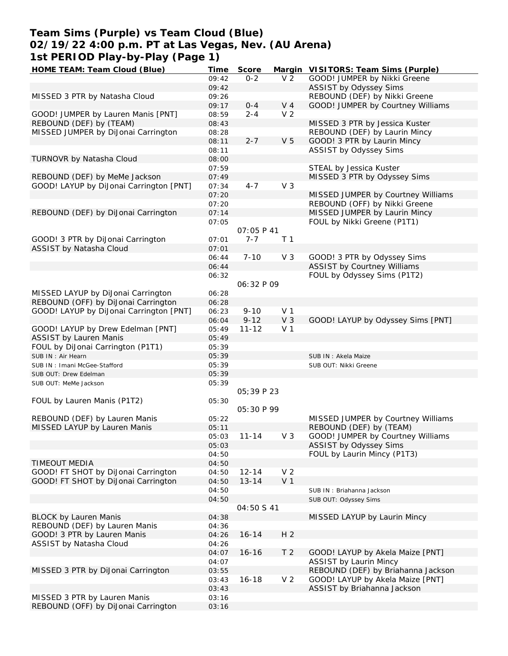## **Team Sims (Purple) vs Team Cloud (Blue) 02/19/22 4:00 p.m. PT at Las Vegas, Nev. (AU Arena) 1st PERIOD Play-by-Play (Page 1)**

| HOME TEAM: Team Cloud (Blue)            | Time  | Score              |                | Margin VISITORS: Team Sims (Purple) |
|-----------------------------------------|-------|--------------------|----------------|-------------------------------------|
|                                         | 09:42 | $0 - 2$            | V <sub>2</sub> | GOOD! JUMPER by Nikki Greene        |
|                                         | 09:42 |                    |                | ASSIST by Odyssey Sims              |
| MISSED 3 PTR by Natasha Cloud           | 09:26 |                    |                | REBOUND (DEF) by Nikki Greene       |
|                                         | 09:17 | $0 - 4$            | $V_4$          | GOOD! JUMPER by Courtney Williams   |
| GOOD! JUMPER by Lauren Manis [PNT]      | 08:59 | $2 - 4$            | V <sub>2</sub> |                                     |
|                                         |       |                    |                |                                     |
| REBOUND (DEF) by (TEAM)                 | 08:43 |                    |                | MISSED 3 PTR by Jessica Kuster      |
| MISSED JUMPER by DiJonai Carrington     | 08:28 |                    |                | REBOUND (DEF) by Laurin Mincy       |
|                                         | 08:11 | $2 - 7$            | V <sub>5</sub> | GOOD! 3 PTR by Laurin Mincy         |
|                                         | 08:11 |                    |                | ASSIST by Odyssey Sims              |
| TURNOVR by Natasha Cloud                | 08:00 |                    |                |                                     |
|                                         | 07:59 |                    |                | STEAL by Jessica Kuster             |
| REBOUND (DEF) by MeMe Jackson           | 07:49 |                    |                | MISSED 3 PTR by Odyssey Sims        |
| GOOD! LAYUP by DiJonai Carrington [PNT] | 07:34 | $4 - 7$            | V <sub>3</sub> |                                     |
|                                         |       |                    |                |                                     |
|                                         | 07:20 |                    |                | MISSED JUMPER by Courtney Williams  |
|                                         | 07:20 |                    |                | REBOUND (OFF) by Nikki Greene       |
| REBOUND (DEF) by DiJonai Carrington     | 07:14 |                    |                | MISSED JUMPER by Laurin Mincy       |
|                                         | 07:05 |                    |                | FOUL by Nikki Greene (P1T1)         |
|                                         |       | <i>OT: 05 P 41</i> |                |                                     |
| GOOD! 3 PTR by DiJonai Carrington       | 07:01 | $7 - 7$            | T <sub>1</sub> |                                     |
| ASSIST by Natasha Cloud                 | 07:01 |                    |                |                                     |
|                                         | 06:44 | $7 - 10$           | V <sub>3</sub> | GOOD! 3 PTR by Odyssey Sims         |
|                                         |       |                    |                |                                     |
|                                         | 06:44 |                    |                | ASSIST by Courtney Williams         |
|                                         | 06:32 |                    |                | FOUL by Odyssey Sims (P1T2)         |
|                                         |       | 06:32 P 09         |                |                                     |
| MISSED LAYUP by DiJonai Carrington      | 06:28 |                    |                |                                     |
| REBOUND (OFF) by DiJonai Carrington     | 06:28 |                    |                |                                     |
| GOOD! LAYUP by DiJonai Carrington [PNT] | 06:23 | $9 - 10$           | V <sub>1</sub> |                                     |
|                                         | 06:04 | $9 - 12$           | V <sub>3</sub> | GOOD! LAYUP by Odyssey Sims [PNT]   |
|                                         |       |                    | V <sub>1</sub> |                                     |
| GOOD! LAYUP by Drew Edelman [PNT]       | 05:49 | $11 - 12$          |                |                                     |
| <b>ASSIST by Lauren Manis</b>           | 05:49 |                    |                |                                     |
| FOUL by DiJonai Carrington (P1T1)       | 05:39 |                    |                |                                     |
| SUB IN: Air Hearn                       | 05:39 |                    |                | SUB IN: Akela Maize                 |
| SUB IN: Imani McGee-Stafford            | 05:39 |                    |                | SUB OUT: Nikki Greene               |
| SUB OUT: Drew Edelman                   | 05:39 |                    |                |                                     |
| SUB OUT: MeMe Jackson                   | 05:39 |                    |                |                                     |
|                                         |       | 05:39 P 23         |                |                                     |
|                                         |       |                    |                |                                     |
| FOUL by Lauren Manis (P1T2)             | 05:30 |                    |                |                                     |
|                                         |       | <i>05:30 P 99</i>  |                |                                     |
| REBOUND (DEF) by Lauren Manis           | 05:22 |                    |                | MISSED JUMPER by Courtney Williams  |
| MISSED LAYUP by Lauren Manis            | 05:11 |                    |                | REBOUND (DEF) by (TEAM)             |
|                                         | 05:03 | $11 - 14$          | V 3            | GOOD! JUMPER by Courtney Williams   |
|                                         | 05:03 |                    |                | ASSIST by Odyssey Sims              |
|                                         | 04:50 |                    |                | FOUL by Laurin Mincy (P1T3)         |
| <b>TIMEOUT MEDIA</b>                    | 04:50 |                    |                |                                     |
|                                         |       |                    |                |                                     |
| GOOD! FT SHOT by DiJonai Carrington     | 04:50 | $12 - 14$          | V <sub>2</sub> |                                     |
| GOOD! FT SHOT by DiJonai Carrington     | 04:50 | $13 - 14$          | V <sub>1</sub> |                                     |
|                                         | 04:50 |                    |                | SUB IN: Briahanna Jackson           |
|                                         | 04:50 |                    |                | SUB OUT: Odyssey Sims               |
|                                         |       | 04:50 S 41         |                |                                     |
| <b>BLOCK by Lauren Manis</b>            | 04:38 |                    |                | MISSED LAYUP by Laurin Mincy        |
| REBOUND (DEF) by Lauren Manis           | 04:36 |                    |                |                                     |
| GOOD! 3 PTR by Lauren Manis             | 04:26 | $16 - 14$          | H <sub>2</sub> |                                     |
|                                         |       |                    |                |                                     |
| ASSIST by Natasha Cloud                 | 04:26 |                    |                |                                     |
|                                         | 04:07 | $16 - 16$          | T <sub>2</sub> | GOOD! LAYUP by Akela Maize [PNT]    |
|                                         | 04:07 |                    |                | <b>ASSIST by Laurin Mincy</b>       |
| MISSED 3 PTR by DiJonai Carrington      | 03:55 |                    |                | REBOUND (DEF) by Briahanna Jackson  |
|                                         | 03:43 | $16 - 18$          | V <sub>2</sub> | GOOD! LAYUP by Akela Maize [PNT]    |
|                                         | 03:43 |                    |                | ASSIST by Briahanna Jackson         |
| MISSED 3 PTR by Lauren Manis            | 03:16 |                    |                |                                     |
|                                         |       |                    |                |                                     |
| REBOUND (OFF) by DiJonai Carrington     | 03:16 |                    |                |                                     |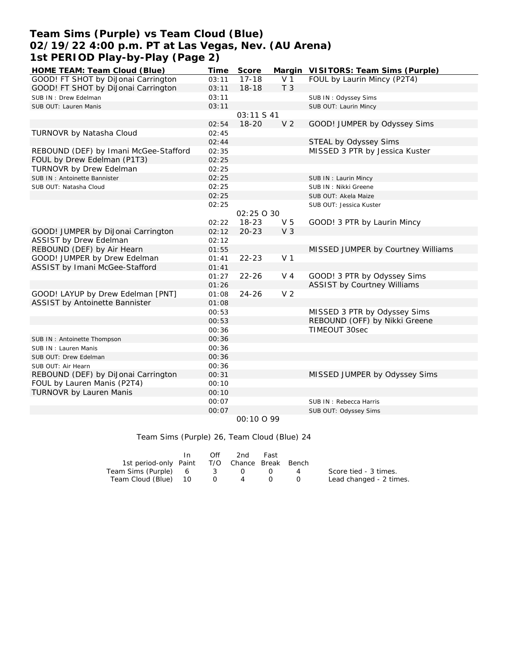# **Team Sims (Purple) vs Team Cloud (Blue) 02/19/22 4:00 p.m. PT at Las Vegas, Nev. (AU Arena) 1st PERIOD Play-by-Play (Page 2)**

| HOME TEAM: Team Cloud (Blue)          | Time  | Score      |                | Margin VISITORS: Team Sims (Purple) |
|---------------------------------------|-------|------------|----------------|-------------------------------------|
| GOOD! FT SHOT by DiJonai Carrington   | 03:11 | $17 - 18$  | V <sub>1</sub> | FOUL by Laurin Mincy (P2T4)         |
| GOOD! FT SHOT by DiJonai Carrington   | 03:11 | $18 - 18$  | T <sub>3</sub> |                                     |
| SUB IN: Drew Edelman                  | 03:11 |            |                | SUB IN: Odyssey Sims                |
| SUB OUT: Lauren Manis                 | 03:11 |            |                | SUB OUT: Laurin Mincy               |
|                                       |       | 03:11 S 41 |                |                                     |
|                                       | 02:54 | $18 - 20$  | V <sub>2</sub> | GOOD! JUMPER by Odyssey Sims        |
| TURNOVR by Natasha Cloud              | 02:45 |            |                |                                     |
|                                       | 02:44 |            |                | STEAL by Odyssey Sims               |
| REBOUND (DEF) by Imani McGee-Stafford | 02:35 |            |                | MISSED 3 PTR by Jessica Kuster      |
| FOUL by Drew Edelman (P1T3)           | 02:25 |            |                |                                     |
| TURNOVR by Drew Edelman               | 02:25 |            |                |                                     |
| SUB IN: Antoinette Bannister          | 02:25 |            |                | SUB IN: Laurin Mincy                |
| SUB OUT: Natasha Cloud                | 02:25 |            |                | SUB IN: Nikki Greene                |
|                                       | 02:25 |            |                | SUB OUT: Akela Maize                |
|                                       | 02:25 |            |                | SUB OUT: Jessica Kuster             |
|                                       |       | 02:25 0 30 |                |                                     |
|                                       | 02:22 | $18 - 23$  | V <sub>5</sub> | GOOD! 3 PTR by Laurin Mincy         |
| GOOD! JUMPER by DiJonai Carrington    | 02:12 | $20 - 23$  | V <sub>3</sub> |                                     |
| <b>ASSIST by Drew Edelman</b>         | 02:12 |            |                |                                     |
| REBOUND (DEF) by Air Hearn            | 01:55 |            |                | MISSED JUMPER by Courtney Williams  |
| GOOD! JUMPER by Drew Edelman          | 01:41 | $22 - 23$  | V <sub>1</sub> |                                     |
| ASSIST by Imani McGee-Stafford        | 01:41 |            |                |                                     |
|                                       | 01:27 | $22 - 26$  | $V_4$          | GOOD! 3 PTR by Odyssey Sims         |
|                                       | 01:26 |            |                | <b>ASSIST by Courtney Williams</b>  |
| GOOD! LAYUP by Drew Edelman [PNT]     | 01:08 | $24 - 26$  | V <sub>2</sub> |                                     |
| ASSIST by Antoinette Bannister        | 01:08 |            |                |                                     |
|                                       | 00:53 |            |                | MISSED 3 PTR by Odyssey Sims        |
|                                       | 00:53 |            |                | REBOUND (OFF) by Nikki Greene       |
|                                       | 00:36 |            |                | TIMEOUT 30sec                       |
| SUB IN: Antoinette Thompson           | 00:36 |            |                |                                     |
| SUB IN: Lauren Manis                  | 00:36 |            |                |                                     |
| SUB OUT: Drew Edelman                 | 00:36 |            |                |                                     |
| SUB OUT: Air Hearn                    | 00:36 |            |                |                                     |
| REBOUND (DEF) by DiJonai Carrington   | 00:31 |            |                | MISSED JUMPER by Odyssey Sims       |
| FOUL by Lauren Manis (P2T4)           | 00:10 |            |                |                                     |
| TURNOVR by Lauren Manis               | 00:10 |            |                |                                     |
|                                       | 00:07 |            |                | SUB IN: Rebecca Harris              |
|                                       | 00:07 |            |                | SUB OUT: Odyssey Sims               |

 *00:10 O 99*

#### Team Sims (Purple) 26, Team Cloud (Blue) 24

|                                              | Off | 2nd -   | Fast             |                |                         |
|----------------------------------------------|-----|---------|------------------|----------------|-------------------------|
| 1st period-only Paint T/O Chance Break Bench |     |         |                  |                |                         |
| Team Sims (Purple) 6 3 0 0                   |     |         |                  | $\overline{4}$ | Score tied - 3 times.   |
| Team Cloud (Blue) 10                         |     | $(1)$ 4 | $\left( \right)$ |                | Lead changed - 2 times. |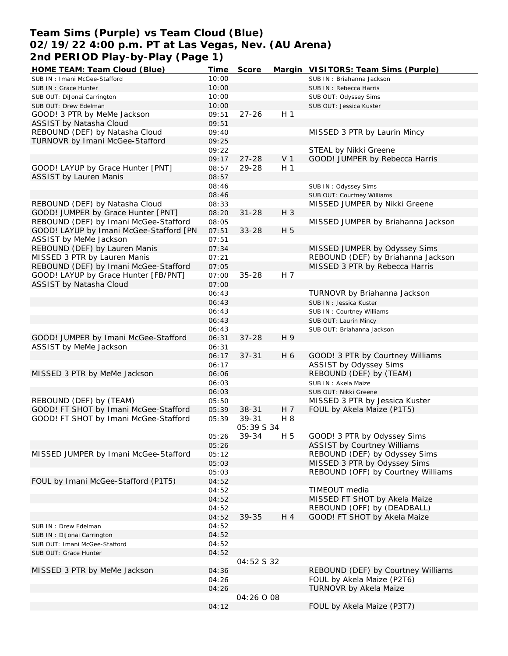# **Team Sims (Purple) vs Team Cloud (Blue) 02/19/22 4:00 p.m. PT at Las Vegas, Nev. (AU Arena) 2nd PERIOD Play-by-Play (Page 1)**

| HOME TEAM: Team Cloud (Blue)            | Time  | Score      |                | Margin VISITORS: Team Sims (Purple) |
|-----------------------------------------|-------|------------|----------------|-------------------------------------|
| SUB IN: Imani McGee-Stafford            | 10:00 |            |                | SUB IN: Briahanna Jackson           |
| SUB IN: Grace Hunter                    | 10:00 |            |                | SUB IN: Rebecca Harris              |
| SUB OUT: DiJonai Carrington             | 10:00 |            |                | SUB OUT: Odyssey Sims               |
| SUB OUT: Drew Edelman                   | 10:00 |            |                | SUB OUT: Jessica Kuster             |
| GOOD! 3 PTR by MeMe Jackson             | 09:51 | $27 - 26$  | H <sub>1</sub> |                                     |
| ASSIST by Natasha Cloud                 | 09:51 |            |                |                                     |
| REBOUND (DEF) by Natasha Cloud          | 09:40 |            |                | MISSED 3 PTR by Laurin Mincy        |
| TURNOVR by Imani McGee-Stafford         | 09:25 |            |                |                                     |
|                                         | 09:22 |            |                | STEAL by Nikki Greene               |
|                                         | 09:17 | $27 - 28$  | V <sub>1</sub> | GOOD! JUMPER by Rebecca Harris      |
| GOOD! LAYUP by Grace Hunter [PNT]       | 08:57 | 29-28      | H <sub>1</sub> |                                     |
| <b>ASSIST by Lauren Manis</b>           | 08:57 |            |                |                                     |
|                                         |       |            |                |                                     |
|                                         | 08:46 |            |                | SUB IN: Odyssey Sims                |
|                                         | 08:46 |            |                | SUB OUT: Courtney Williams          |
| REBOUND (DEF) by Natasha Cloud          | 08:33 |            |                | MISSED JUMPER by Nikki Greene       |
| GOOD! JUMPER by Grace Hunter [PNT]      | 08:20 | $31 - 28$  | H 3            |                                     |
| REBOUND (DEF) by Imani McGee-Stafford   | 08:05 |            |                | MISSED JUMPER by Briahanna Jackson  |
| GOOD! LAYUP by Imani McGee-Stafford [PN | 07:51 | $33 - 28$  | H 5            |                                     |
| ASSIST by MeMe Jackson                  | 07:51 |            |                |                                     |
| REBOUND (DEF) by Lauren Manis           | 07:34 |            |                | MISSED JUMPER by Odyssey Sims       |
| MISSED 3 PTR by Lauren Manis            | 07:21 |            |                | REBOUND (DEF) by Briahanna Jackson  |
| REBOUND (DEF) by Imani McGee-Stafford   | 07:05 |            |                | MISSED 3 PTR by Rebecca Harris      |
| GOOD! LAYUP by Grace Hunter [FB/PNT]    | 07:00 | $35 - 28$  | H 7            |                                     |
| ASSIST by Natasha Cloud                 | 07:00 |            |                |                                     |
|                                         | 06:43 |            |                | TURNOVR by Briahanna Jackson        |
|                                         | 06:43 |            |                | SUB IN: Jessica Kuster              |
|                                         | 06:43 |            |                | SUB IN: Courtney Williams           |
|                                         | 06:43 |            |                | SUB OUT: Laurin Mincy               |
|                                         | 06:43 |            |                | SUB OUT: Briahanna Jackson          |
| GOOD! JUMPER by Imani McGee-Stafford    | 06:31 | $37 - 28$  | H 9            |                                     |
| ASSIST by MeMe Jackson                  | 06:31 |            |                |                                     |
|                                         | 06:17 | $37 - 31$  | H 6            | GOOD! 3 PTR by Courtney Williams    |
|                                         | 06:17 |            |                | ASSIST by Odyssey Sims              |
| MISSED 3 PTR by MeMe Jackson            | 06:06 |            |                | REBOUND (DEF) by (TEAM)             |
|                                         | 06:03 |            |                | SUB IN: Akela Maize                 |
|                                         | 06:03 |            |                | SUB OUT: Nikki Greene               |
| REBOUND (DEF) by (TEAM)                 | 05:50 |            |                | MISSED 3 PTR by Jessica Kuster      |
| GOOD! FT SHOT by Imani McGee-Stafford   | 05:39 | $38 - 31$  | H 7            | FOUL by Akela Maize (P1T5)          |
| GOOD! FT SHOT by Imani McGee-Stafford   | 05:39 | 39-31      | H 8            |                                     |
|                                         |       | 05:39 S 34 |                |                                     |
|                                         | 05:26 | 39-34      | H 5            | GOOD! 3 PTR by Odyssey Sims         |
|                                         | 05:26 |            |                | <b>ASSIST by Courtney Williams</b>  |
| MISSED JUMPER by Imani McGee-Stafford   | 05:12 |            |                | REBOUND (DEF) by Odyssey Sims       |
|                                         | 05:03 |            |                | MISSED 3 PTR by Odyssey Sims        |
|                                         | 05:03 |            |                | REBOUND (OFF) by Courtney Williams  |
|                                         |       |            |                |                                     |
| FOUL by Imani McGee-Stafford (P1T5)     | 04:52 |            |                | TIMEOUT media                       |
|                                         | 04:52 |            |                |                                     |
|                                         | 04:52 |            |                | MISSED FT SHOT by Akela Maize       |
|                                         | 04:52 |            |                | REBOUND (OFF) by (DEADBALL)         |
|                                         | 04:52 | 39-35      | H 4            | GOOD! FT SHOT by Akela Maize        |
| SUB IN : Drew Edelman                   | 04:52 |            |                |                                     |
| SUB IN: DiJonai Carrington              | 04:52 |            |                |                                     |
| SUB OUT: Imani McGee-Stafford           | 04:52 |            |                |                                     |
| SUB OUT: Grace Hunter                   | 04:52 |            |                |                                     |
|                                         |       | 04:52 S 32 |                |                                     |
| MISSED 3 PTR by MeMe Jackson            | 04:36 |            |                | REBOUND (DEF) by Courtney Williams  |
|                                         | 04:26 |            |                | FOUL by Akela Maize (P2T6)          |
|                                         | 04:26 |            |                | TURNOVR by Akela Maize              |
|                                         |       | 04:26 0 08 |                |                                     |
|                                         | 04:12 |            |                | FOUL by Akela Maize (P3T7)          |
|                                         |       |            |                |                                     |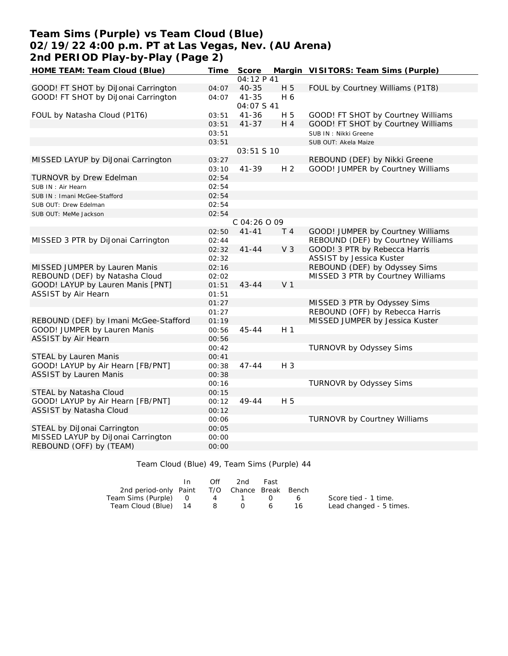## **Team Sims (Purple) vs Team Cloud (Blue) 02/19/22 4:00 p.m. PT at Las Vegas, Nev. (AU Arena) 2nd PERIOD Play-by-Play (Page 2)**

| HOME TEAM: Team Cloud (Blue)          | Time  | Score        |                | Margin VISITORS: Team Sims (Purple) |
|---------------------------------------|-------|--------------|----------------|-------------------------------------|
|                                       |       | 04:12P41     |                |                                     |
| GOOD! FT SHOT by DiJonai Carrington   | 04:07 | $40 - 35$    | H 5            | FOUL by Courtney Williams (P1T8)    |
| GOOD! FT SHOT by DiJonai Carrington   | 04:07 | $41 - 35$    | H 6            |                                     |
|                                       |       | 04:07 S 41   |                |                                     |
| FOUL by Natasha Cloud (P1T6)          | 03:51 | $41 - 36$    | H 5            | GOOD! FT SHOT by Courtney Williams  |
|                                       | 03:51 | $41 - 37$    | $H_4$          | GOOD! FT SHOT by Courtney Williams  |
|                                       | 03:51 |              |                | SUB IN : Nikki Greene               |
|                                       | 03:51 |              |                | SUB OUT: Akela Maize                |
|                                       |       | 03:51 S 10   |                |                                     |
| MISSED LAYUP by DiJonai Carrington    | 03:27 |              |                | REBOUND (DEF) by Nikki Greene       |
|                                       | 03:10 | $41 - 39$    | H <sub>2</sub> | GOOD! JUMPER by Courtney Williams   |
| TURNOVR by Drew Edelman               | 02:54 |              |                |                                     |
| SUB IN : Air Hearn                    | 02:54 |              |                |                                     |
| SUB IN: Imani McGee-Stafford          | 02:54 |              |                |                                     |
| SUB OUT: Drew Edelman                 | 02:54 |              |                |                                     |
| SUB OUT: MeMe Jackson                 | 02:54 |              |                |                                     |
|                                       |       | C 04:26 O 09 |                |                                     |
|                                       | 02:50 | $41 - 41$    | T 4            | GOOD! JUMPER by Courtney Williams   |
| MISSED 3 PTR by DiJonai Carrington    | 02:44 |              |                | REBOUND (DEF) by Courtney Williams  |
|                                       | 02:32 | $41 - 44$    | V <sub>3</sub> | GOOD! 3 PTR by Rebecca Harris       |
|                                       | 02:32 |              |                | ASSIST by Jessica Kuster            |
| MISSED JUMPER by Lauren Manis         | 02:16 |              |                | REBOUND (DEF) by Odyssey Sims       |
| REBOUND (DEF) by Natasha Cloud        | 02:02 |              |                | MISSED 3 PTR by Courtney Williams   |
| GOOD! LAYUP by Lauren Manis [PNT]     | 01:51 | $43 - 44$    | V <sub>1</sub> |                                     |
| ASSIST by Air Hearn                   | 01:51 |              |                |                                     |
|                                       | 01:27 |              |                | MISSED 3 PTR by Odyssey Sims        |
|                                       | 01:27 |              |                | REBOUND (OFF) by Rebecca Harris     |
| REBOUND (DEF) by Imani McGee-Stafford | 01:19 |              |                | MISSED JUMPER by Jessica Kuster     |
| GOOD! JUMPER by Lauren Manis          | 00:56 | $45 - 44$    | H <sub>1</sub> |                                     |
| ASSIST by Air Hearn                   | 00:56 |              |                |                                     |
|                                       | 00:42 |              |                | <b>TURNOVR by Odyssey Sims</b>      |
| STEAL by Lauren Manis                 | 00:41 |              |                |                                     |
| GOOD! LAYUP by Air Hearn [FB/PNT]     | 00:38 | $47 - 44$    | H 3            |                                     |
| ASSIST by Lauren Manis                | 00:38 |              |                |                                     |
|                                       | 00:16 |              |                | TURNOVR by Odyssey Sims             |
| STEAL by Natasha Cloud                | 00:15 |              |                |                                     |
| GOOD! LAYUP by Air Hearn [FB/PNT]     | 00:12 | 49-44        | H 5            |                                     |
| ASSIST by Natasha Cloud               | 00:12 |              |                |                                     |
|                                       | 00:06 |              |                | TURNOVR by Courtney Williams        |
| STEAL by DiJonai Carrington           | 00:05 |              |                |                                     |
| MISSED LAYUP by DiJonai Carrington    | 00:00 |              |                |                                     |
| REBOUND (OFF) by (TEAM)               | 00:00 |              |                |                                     |
|                                       |       |              |                |                                     |

Team Cloud (Blue) 49, Team Sims (Purple) 44

|                                              | Off | 2nd     | Fast |        |                         |
|----------------------------------------------|-----|---------|------|--------|-------------------------|
| 2nd period-only Paint T/O Chance Break Bench |     |         |      |        |                         |
| Team Sims (Purple) 0                         |     | 4 1 0 6 |      |        | Score tied - 1 time.    |
| Team Cloud (Blue) 14                         |     | 806     |      | - 16 - | Lead changed - 5 times. |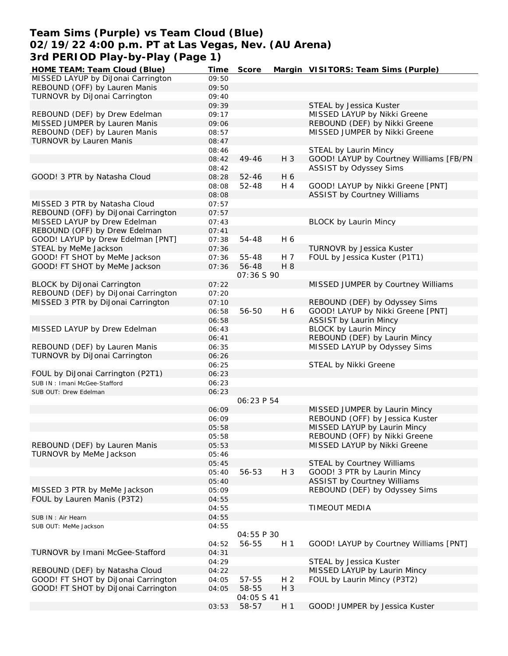## **Team Sims (Purple) vs Team Cloud (Blue) 02/19/22 4:00 p.m. PT at Las Vegas, Nev. (AU Arena) 3rd PERIOD Play-by-Play (Page 1)**

| HOME TEAM: Team Cloud (Blue)        | Time  | Score      |                | Margin VISITORS: Team Sims (Purple)     |
|-------------------------------------|-------|------------|----------------|-----------------------------------------|
| MISSED LAYUP by DiJonai Carrington  | 09:50 |            |                |                                         |
| REBOUND (OFF) by Lauren Manis       | 09:50 |            |                |                                         |
| TURNOVR by DiJonai Carrington       | 09:40 |            |                |                                         |
|                                     | 09:39 |            |                | STEAL by Jessica Kuster                 |
| REBOUND (DEF) by Drew Edelman       | 09:17 |            |                | MISSED LAYUP by Nikki Greene            |
| MISSED JUMPER by Lauren Manis       | 09:06 |            |                | REBOUND (DEF) by Nikki Greene           |
| REBOUND (DEF) by Lauren Manis       | 08:57 |            |                | MISSED JUMPER by Nikki Greene           |
| TURNOVR by Lauren Manis             | 08:47 |            |                |                                         |
|                                     |       |            |                | STEAL by Laurin Mincy                   |
|                                     | 08:46 |            |                |                                         |
|                                     | 08:42 | 49-46      | H 3            | GOOD! LAYUP by Courtney Williams [FB/PN |
|                                     | 08:42 |            |                | ASSIST by Odyssey Sims                  |
| GOOD! 3 PTR by Natasha Cloud        | 08:28 | $52 - 46$  | H 6            |                                         |
|                                     | 08:08 | 52-48      | H 4            | GOOD! LAYUP by Nikki Greene [PNT]       |
|                                     | 08:08 |            |                | <b>ASSIST by Courtney Williams</b>      |
| MISSED 3 PTR by Natasha Cloud       | 07:57 |            |                |                                         |
| REBOUND (OFF) by DiJonai Carrington | 07:57 |            |                |                                         |
| MISSED LAYUP by Drew Edelman        | 07:43 |            |                | <b>BLOCK by Laurin Mincy</b>            |
| REBOUND (OFF) by Drew Edelman       | 07:41 |            |                |                                         |
| GOOD! LAYUP by Drew Edelman [PNT]   | 07:38 | 54-48      | H 6            |                                         |
| STEAL by MeMe Jackson               | 07:36 |            |                | TURNOVR by Jessica Kuster               |
| GOOD! FT SHOT by MeMe Jackson       | 07:36 | 55-48      | H 7            | FOUL by Jessica Kuster (P1T1)           |
| GOOD! FT SHOT by MeMe Jackson       | 07:36 | 56-48      | H 8            |                                         |
|                                     |       |            |                |                                         |
|                                     |       | 07:36 S 90 |                |                                         |
| BLOCK by DiJonai Carrington         | 07:22 |            |                | MISSED JUMPER by Courtney Williams      |
| REBOUND (DEF) by DiJonai Carrington | 07:20 |            |                |                                         |
| MISSED 3 PTR by DiJonai Carrington  | 07:10 |            |                | REBOUND (DEF) by Odyssey Sims           |
|                                     | 06:58 | 56-50      | H 6            | GOOD! LAYUP by Nikki Greene [PNT]       |
|                                     | 06:58 |            |                | <b>ASSIST by Laurin Mincy</b>           |
| MISSED LAYUP by Drew Edelman        | 06:43 |            |                | <b>BLOCK by Laurin Mincy</b>            |
|                                     | 06:41 |            |                | REBOUND (DEF) by Laurin Mincy           |
| REBOUND (DEF) by Lauren Manis       | 06:35 |            |                | MISSED LAYUP by Odyssey Sims            |
| TURNOVR by DiJonai Carrington       | 06:26 |            |                |                                         |
|                                     | 06:25 |            |                | STEAL by Nikki Greene                   |
| FOUL by DiJonai Carrington (P2T1)   | 06:23 |            |                |                                         |
| SUB IN: Imani McGee-Stafford        | 06:23 |            |                |                                         |
| SUB OUT: Drew Edelman               | 06:23 |            |                |                                         |
|                                     |       | 06:23 P 54 |                |                                         |
|                                     |       |            |                |                                         |
|                                     | 06:09 |            |                | MISSED JUMPER by Laurin Mincy           |
|                                     | 06:09 |            |                | REBOUND (OFF) by Jessica Kuster         |
|                                     | 05:58 |            |                | MISSED LAYUP by Laurin Mincy            |
|                                     | 05:58 |            |                | REBOUND (OFF) by Nikki Greene           |
| REBOUND (DEF) by Lauren Manis       | 05:53 |            |                | MISSED LAYUP by Nikki Greene            |
| TURNOVR by MeMe Jackson             | 05:46 |            |                |                                         |
|                                     | 05:45 |            |                | STEAL by Courtney Williams              |
|                                     | 05:40 | 56-53      | H 3            | GOOD! 3 PTR by Laurin Mincy             |
|                                     | 05:40 |            |                | <b>ASSIST by Courtney Williams</b>      |
| MISSED 3 PTR by MeMe Jackson        | 05:09 |            |                | REBOUND (DEF) by Odyssey Sims           |
| FOUL by Lauren Manis (P3T2)         | 04:55 |            |                |                                         |
|                                     | 04:55 |            |                | TIMEOUT MEDIA                           |
| SUB IN: Air Hearn                   | 04:55 |            |                |                                         |
| SUB OUT: MeMe Jackson               | 04:55 |            |                |                                         |
|                                     |       | 04:55 P 30 |                |                                         |
|                                     |       |            |                | GOOD! LAYUP by Courtney Williams [PNT]  |
|                                     | 04:52 | 56-55      | H <sub>1</sub> |                                         |
| TURNOVR by Imani McGee-Stafford     | 04:31 |            |                |                                         |
|                                     | 04:29 |            |                | STEAL by Jessica Kuster                 |
| REBOUND (DEF) by Natasha Cloud      | 04:22 |            |                | MISSED LAYUP by Laurin Mincy            |
| GOOD! FT SHOT by DiJonai Carrington | 04:05 | 57-55      | H <sub>2</sub> | FOUL by Laurin Mincy (P3T2)             |
| GOOD! FT SHOT by DiJonai Carrington | 04:05 | 58-55      | H 3            |                                         |
|                                     |       | 04:05 S 41 |                |                                         |
|                                     | 03:53 | 58-57      | H <sub>1</sub> | GOOD! JUMPER by Jessica Kuster          |
|                                     |       |            |                |                                         |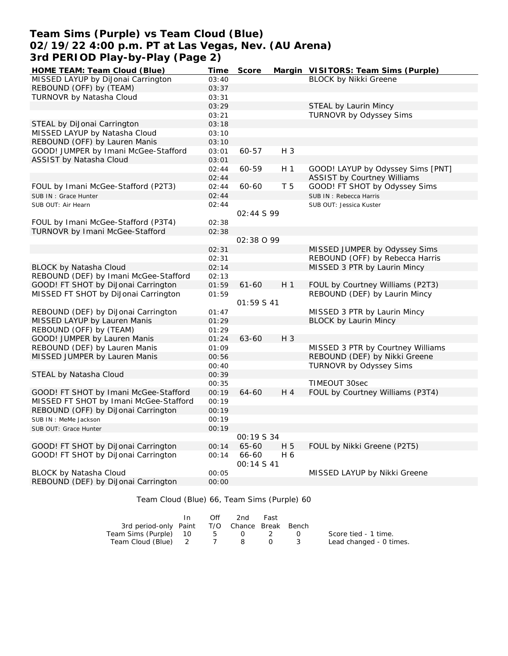## **Team Sims (Purple) vs Team Cloud (Blue) 02/19/22 4:00 p.m. PT at Las Vegas, Nev. (AU Arena) 3rd PERIOD Play-by-Play (Page 2)**

| HOME TEAM: Team Cloud (Blue)           | Time  | Score             |                | Margin VISITORS: Team Sims (Purple)                              |
|----------------------------------------|-------|-------------------|----------------|------------------------------------------------------------------|
| MISSED LAYUP by DiJonai Carrington     | 03:40 |                   |                | <b>BLOCK by Nikki Greene</b>                                     |
| REBOUND (OFF) by (TEAM)                | 03:37 |                   |                |                                                                  |
| TURNOVR by Natasha Cloud               | 03:31 |                   |                |                                                                  |
|                                        | 03:29 |                   |                | STEAL by Laurin Mincy                                            |
|                                        | 03:21 |                   |                | <b>TURNOVR by Odyssey Sims</b>                                   |
| STEAL by DiJonai Carrington            | 03:18 |                   |                |                                                                  |
| MISSED LAYUP by Natasha Cloud          | 03:10 |                   |                |                                                                  |
| REBOUND (OFF) by Lauren Manis          | 03:10 |                   |                |                                                                  |
| GOOD! JUMPER by Imani McGee-Stafford   | 03:01 | 60-57             | H 3            |                                                                  |
| ASSIST by Natasha Cloud                | 03:01 |                   |                |                                                                  |
|                                        | 02:44 | 60-59             | H <sub>1</sub> | GOOD! LAYUP by Odyssey Sims [PNT]                                |
|                                        | 02:44 |                   |                | <b>ASSIST by Courtney Williams</b>                               |
| FOUL by Imani McGee-Stafford (P2T3)    | 02:44 | 60-60             | T <sub>5</sub> | GOOD! FT SHOT by Odyssey Sims                                    |
| SUB IN : Grace Hunter                  | 02:44 |                   |                | SUB IN: Rebecca Harris                                           |
| SUB OUT: Air Hearn                     | 02:44 |                   |                | SUB OUT: Jessica Kuster                                          |
|                                        |       | 02:44S99          |                |                                                                  |
| FOUL by Imani McGee-Stafford (P3T4)    | 02:38 |                   |                |                                                                  |
| TURNOVR by Imani McGee-Stafford        | 02:38 |                   |                |                                                                  |
|                                        |       | 02:38 0 99        |                |                                                                  |
|                                        | 02:31 |                   |                |                                                                  |
|                                        |       |                   |                | MISSED JUMPER by Odyssey Sims<br>REBOUND (OFF) by Rebecca Harris |
|                                        | 02:31 |                   |                |                                                                  |
| BLOCK by Natasha Cloud                 | 02:14 |                   |                | MISSED 3 PTR by Laurin Mincy                                     |
| REBOUND (DEF) by Imani McGee-Stafford  | 02:13 |                   |                |                                                                  |
| GOOD! FT SHOT by DiJonai Carrington    | 01:59 | $61 - 60$         | H <sub>1</sub> | FOUL by Courtney Williams (P2T3)                                 |
| MISSED FT SHOT by DiJonai Carrington   | 01:59 |                   |                | REBOUND (DEF) by Laurin Mincy                                    |
|                                        |       | 01:59 S 41        |                |                                                                  |
| REBOUND (DEF) by DiJonai Carrington    | 01:47 |                   |                | MISSED 3 PTR by Laurin Mincy                                     |
| MISSED LAYUP by Lauren Manis           | 01:29 |                   |                | <b>BLOCK by Laurin Mincy</b>                                     |
| REBOUND (OFF) by (TEAM)                | 01:29 |                   |                |                                                                  |
| GOOD! JUMPER by Lauren Manis           | 01:24 | 63-60             | $H_3$          |                                                                  |
| REBOUND (DEF) by Lauren Manis          | 01:09 |                   |                | MISSED 3 PTR by Courtney Williams                                |
| MISSED JUMPER by Lauren Manis          | 00:56 |                   |                | REBOUND (DEF) by Nikki Greene                                    |
|                                        | 00:40 |                   |                | TURNOVR by Odyssey Sims                                          |
| STEAL by Natasha Cloud                 | 00:39 |                   |                |                                                                  |
|                                        | 00:35 |                   |                | <b>TIMEOUT 30sec</b>                                             |
| GOOD! FT SHOT by Imani McGee-Stafford  | 00:19 | 64-60             | H 4            | FOUL by Courtney Williams (P3T4)                                 |
| MISSED FT SHOT by Imani McGee-Stafford | 00:19 |                   |                |                                                                  |
| REBOUND (OFF) by DiJonai Carrington    | 00:19 |                   |                |                                                                  |
| SUB IN: MeMe Jackson                   | 00:19 |                   |                |                                                                  |
| SUB OUT: Grace Hunter                  | 00:19 |                   |                |                                                                  |
|                                        |       | <i>00:19 S 34</i> |                |                                                                  |
| GOOD! FT SHOT by DiJonai Carrington    | 00:14 | 65-60             | H 5            | FOUL by Nikki Greene (P2T5)                                      |
| GOOD! FT SHOT by DiJonai Carrington    | 00:14 | 66-60             | H 6            |                                                                  |
|                                        |       | OO: 14 S 41       |                |                                                                  |
| <b>BLOCK by Natasha Cloud</b>          | 00:05 |                   |                | MISSED LAYUP by Nikki Greene                                     |
| REBOUND (DEF) by DiJonai Carrington    | 00:00 |                   |                |                                                                  |
|                                        |       |                   |                |                                                                  |

Team Cloud (Blue) 66, Team Sims (Purple) 60

|                                              | Off | 2nd                      | Fast   |                      |                         |
|----------------------------------------------|-----|--------------------------|--------|----------------------|-------------------------|
| 3rd period-only Paint T/O Chance Break Bench |     |                          |        |                      |                         |
| Team Sims (Purple) 10                        |     | $5 \qquad \qquad \Omega$ |        | $\sim$ $\sim$ $\sim$ | Score tied - 1 time.    |
| Team Cloud (Blue) 2                          |     | $\mathbf{R}$             | $\cap$ |                      | Lead changed - 0 times. |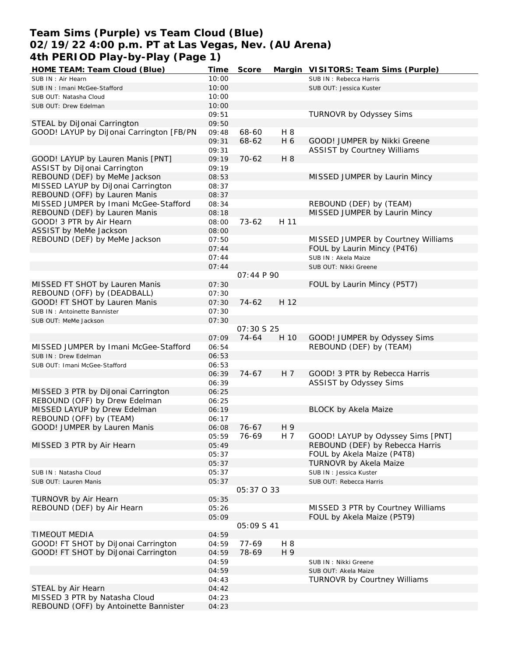# **Team Sims (Purple) vs Team Cloud (Blue) 02/19/22 4:00 p.m. PT at Las Vegas, Nev. (AU Arena) 4th PERIOD Play-by-Play (Page 1)**

| HOME TEAM: Team Cloud (Blue)             | Time           | Score             |      | Margin VISITORS: Team Sims (Purple) |
|------------------------------------------|----------------|-------------------|------|-------------------------------------|
| SUB IN: Air Hearn                        | 10:00          |                   |      | SUB IN: Rebecca Harris              |
| SUB IN: Imani McGee-Stafford             | 10:00          |                   |      | SUB OUT: Jessica Kuster             |
| SUB OUT: Natasha Cloud                   | 10:00          |                   |      |                                     |
| SUB OUT: Drew Edelman                    | 10:00          |                   |      |                                     |
|                                          | 09:51          |                   |      | TURNOVR by Odyssey Sims             |
| STEAL by DiJonai Carrington              | 09:50          |                   |      |                                     |
| GOOD! LAYUP by DiJonal Carrington [FB/PN | 09:48          | 68-60             | H 8  |                                     |
|                                          | 09:31          | 68-62             | H 6  | GOOD! JUMPER by Nikki Greene        |
|                                          | 09:31          |                   |      | <b>ASSIST by Courtney Williams</b>  |
| GOOD! LAYUP by Lauren Manis [PNT]        | 09:19          | $70-62$           | H 8  |                                     |
| ASSIST by DiJonai Carrington             | 09:19          |                   |      |                                     |
| REBOUND (DEF) by MeMe Jackson            | 08:53          |                   |      | MISSED JUMPER by Laurin Mincy       |
|                                          |                |                   |      |                                     |
| MISSED LAYUP by DiJonai Carrington       | 08:37          |                   |      |                                     |
| REBOUND (OFF) by Lauren Manis            | 08:37          |                   |      |                                     |
| MISSED JUMPER by Imani McGee-Stafford    | 08:34          |                   |      | REBOUND (DEF) by (TEAM)             |
| REBOUND (DEF) by Lauren Manis            | 08:18          |                   |      | MISSED JUMPER by Laurin Mincy       |
| GOOD! 3 PTR by Air Hearn                 | 08:00          | $73 - 62$         | H 11 |                                     |
| ASSIST by MeMe Jackson                   | 08:00          |                   |      |                                     |
| REBOUND (DEF) by MeMe Jackson            | 07:50          |                   |      | MISSED JUMPER by Courtney Williams  |
|                                          | 07:44          |                   |      | FOUL by Laurin Mincy (P4T6)         |
|                                          | 07:44          |                   |      | SUB IN: Akela Maize                 |
|                                          | 07:44          |                   |      | SUB OUT: Nikki Greene               |
|                                          |                | 07:44 P 90        |      |                                     |
| MISSED FT SHOT by Lauren Manis           | 07:30          |                   |      | FOUL by Laurin Mincy (P5T7)         |
| REBOUND (OFF) by (DEADBALL)              | 07:30          |                   |      |                                     |
| GOOD! FT SHOT by Lauren Manis            | 07:30          | $74-62$           | H 12 |                                     |
| SUB IN: Antoinette Bannister             | 07:30          |                   |      |                                     |
| SUB OUT: MeMe Jackson                    | 07:30          |                   |      |                                     |
|                                          |                | 07:30 S 25        |      |                                     |
|                                          | 07:09          | 74-64             | H 10 | GOOD! JUMPER by Odyssey Sims        |
| MISSED JUMPER by Imani McGee-Stafford    | 06:54          |                   |      | REBOUND (DEF) by (TEAM)             |
| SUB IN : Drew Edelman                    | 06:53          |                   |      |                                     |
| SUB OUT: Imani McGee-Stafford            | 06:53          |                   |      |                                     |
|                                          | 06:39          | 74-67             | H 7  | GOOD! 3 PTR by Rebecca Harris       |
|                                          | 06:39          |                   |      | ASSIST by Odyssey Sims              |
| MISSED 3 PTR by DiJonai Carrington       | 06:25          |                   |      |                                     |
| REBOUND (OFF) by Drew Edelman            | 06:25          |                   |      |                                     |
| MISSED LAYUP by Drew Edelman             | 06:19          |                   |      | <b>BLOCK by Akela Maize</b>         |
| REBOUND (OFF) by (TEAM)                  | 06:17          |                   |      |                                     |
| GOOD! JUMPER by Lauren Manis             | 06:08          | 76-67             | H 9  |                                     |
|                                          |                |                   |      | GOOD! LAYUP by Odyssey Sims [PNT]   |
| MISSED 3 PTR by Air Hearn                | 05:59<br>05:49 | 76-69             | H 7  | REBOUND (DEF) by Rebecca Harris     |
|                                          |                |                   |      |                                     |
|                                          | 05:37          |                   |      | FOUL by Akela Maize (P4T8)          |
|                                          | 05:37          |                   |      | TURNOVR by Akela Maize              |
| SUB IN: Natasha Cloud                    | 05:37          |                   |      | SUB IN: Jessica Kuster              |
| SUB OUT: Lauren Manis                    | 05:37          |                   |      | SUB OUT: Rebecca Harris             |
|                                          |                | 05:37 0 33        |      |                                     |
| TURNOVR by Air Hearn                     | 05:35          |                   |      |                                     |
| REBOUND (DEF) by Air Hearn               | 05:26          |                   |      | MISSED 3 PTR by Courtney Williams   |
|                                          | 05:09          |                   |      | FOUL by Akela Maize (P5T9)          |
|                                          |                | <i>05:09 S 41</i> |      |                                     |
| <b>TIMEOUT MEDIA</b>                     | 04:59          |                   |      |                                     |
| GOOD! FT SHOT by DiJonai Carrington      | 04:59          | 77-69             | H 8  |                                     |
| GOOD! FT SHOT by DiJonai Carrington      | 04:59          | 78-69             | H 9  |                                     |
|                                          | 04:59          |                   |      | SUB IN: Nikki Greene                |
|                                          | 04:59          |                   |      | SUB OUT: Akela Maize                |
|                                          | 04:43          |                   |      | TURNOVR by Courtney Williams        |
| STEAL by Air Hearn                       | 04:42          |                   |      |                                     |
| MISSED 3 PTR by Natasha Cloud            | 04:23          |                   |      |                                     |
| REBOUND (OFF) by Antoinette Bannister    | 04:23          |                   |      |                                     |
|                                          |                |                   |      |                                     |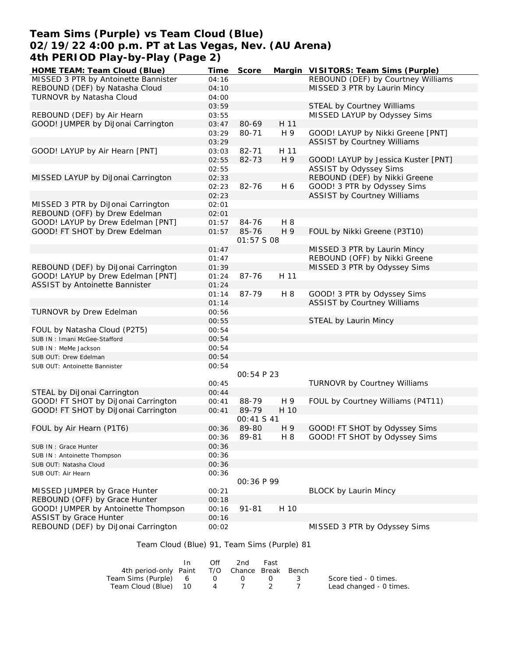# **Team Sims (Purple) vs Team Cloud (Blue) 02/19/22 4:00 p.m. PT at Las Vegas, Nev. (AU Arena) 4th PERIOD Play-by-Play (Page 2)**

| HOME TEAM: Team Cloud (Blue)          | Time  | Score       |      | Margin VISITORS: Team Sims (Purple) |
|---------------------------------------|-------|-------------|------|-------------------------------------|
| MISSED 3 PTR by Antoinette Bannister  | 04:16 |             |      | REBOUND (DEF) by Courtney Williams  |
| REBOUND (DEF) by Natasha Cloud        | 04:10 |             |      | MISSED 3 PTR by Laurin Mincy        |
| TURNOVR by Natasha Cloud              | 04:00 |             |      |                                     |
|                                       | 03:59 |             |      | STEAL by Courtney Williams          |
| REBOUND (DEF) by Air Hearn            | 03:55 |             |      | MISSED LAYUP by Odyssey Sims        |
| GOOD! JUMPER by DiJonai Carrington    | 03:47 | 80-69       | H 11 |                                     |
|                                       | 03:29 | 80-71       | H 9  | GOOD! LAYUP by Nikki Greene [PNT]   |
|                                       | 03:29 |             |      | <b>ASSIST by Courtney Williams</b>  |
| GOOD! LAYUP by Air Hearn [PNT]        | 03:03 | 82-71       | H 11 |                                     |
|                                       | 02:55 | 82-73       | H 9  | GOOD! LAYUP by Jessica Kuster [PNT] |
|                                       | 02:55 |             |      | ASSIST by Odyssey Sims              |
| MISSED LAYUP by DiJonai Carrington    | 02:33 |             |      | REBOUND (DEF) by Nikki Greene       |
|                                       | 02:23 | 82-76       | H 6  | GOOD! 3 PTR by Odyssey Sims         |
|                                       | 02:23 |             |      | <b>ASSIST by Courtney Williams</b>  |
| MISSED 3 PTR by DiJonai Carrington    | 02:01 |             |      |                                     |
| REBOUND (OFF) by Drew Edelman         | 02:01 |             |      |                                     |
| GOOD! LAYUP by Drew Edelman [PNT]     | 01:57 | 84-76       | H 8  |                                     |
| GOOD! FT SHOT by Drew Edelman         | 01:57 | 85-76       | H 9  | FOUL by Nikki Greene (P3T10)        |
|                                       |       | 01:57 S 08  |      |                                     |
|                                       | 01:47 |             |      | MISSED 3 PTR by Laurin Mincy        |
|                                       | 01:47 |             |      | REBOUND (OFF) by Nikki Greene       |
| REBOUND (DEF) by DiJonai Carrington   | 01:39 |             |      | MISSED 3 PTR by Odyssey Sims        |
| GOOD! LAYUP by Drew Edelman [PNT]     | 01:24 | 87-76       | H 11 |                                     |
| <b>ASSIST by Antoinette Bannister</b> | 01:24 |             |      |                                     |
|                                       | 01:14 | 87-79       | H 8  | GOOD! 3 PTR by Odyssey Sims         |
|                                       | 01:14 |             |      | <b>ASSIST by Courtney Williams</b>  |
| TURNOVR by Drew Edelman               | 00:56 |             |      |                                     |
|                                       | 00:55 |             |      | STEAL by Laurin Mincy               |
| FOUL by Natasha Cloud (P2T5)          | 00:54 |             |      |                                     |
| SUB IN: Imani McGee-Stafford          | 00:54 |             |      |                                     |
| SUB IN : MeMe Jackson                 | 00:54 |             |      |                                     |
| SUB OUT: Drew Edelman                 | 00:54 |             |      |                                     |
| SUB OUT: Antoinette Bannister         | 00:54 |             |      |                                     |
|                                       |       | 00:54 P 23  |      |                                     |
|                                       | 00:45 |             |      | TURNOVR by Courtney Williams        |
| STEAL by DiJonai Carrington           | 00:44 |             |      |                                     |
| GOOD! FT SHOT by DiJonai Carrington   | 00:41 | 88-79       | H 9  | FOUL by Courtney Williams (P4T11)   |
| GOOD! FT SHOT by DiJonai Carrington   | 00:41 | 89-79       | H 10 |                                     |
|                                       |       | 00:41 S 41  |      |                                     |
| FOUL by Air Hearn (P1T6)              | 00:36 | 89-80       | H 9  | GOOD! FT SHOT by Odyssey Sims       |
|                                       | 00:36 | 89-81       | H 8  | GOOD! FT SHOT by Odyssey Sims       |
| SUB IN : Grace Hunter                 | 00:36 |             |      |                                     |
| SUB IN: Antoinette Thompson           | 00:36 |             |      |                                     |
| SUB OUT: Natasha Cloud                | 00:36 |             |      |                                     |
| SUB OUT: Air Hearn                    | 00:36 |             |      |                                     |
|                                       |       | OO: 36 P 99 |      |                                     |
| MISSED JUMPER by Grace Hunter         | 00:21 |             |      | <b>BLOCK by Laurin Mincy</b>        |
| REBOUND (OFF) by Grace Hunter         | 00:18 |             |      |                                     |
| GOOD! JUMPER by Antoinette Thompson   | 00:16 | $91 - 81$   | H 10 |                                     |
| <b>ASSIST by Grace Hunter</b>         | 00:16 |             |      |                                     |
| REBOUND (DEF) by DiJonai Carrington   | 00:02 |             |      | MISSED 3 PTR by Odyssey Sims        |

Team Cloud (Blue) 91, Team Sims (Purple) 81

|                                              | In. | Off      | 2nd       | Fast |                         |
|----------------------------------------------|-----|----------|-----------|------|-------------------------|
| 4th period-only Paint T/O Chance Break Bench |     |          |           |      |                         |
| Team Sims (Purple) 6                         |     | $\Omega$ | $\bigcap$ |      | Score tied - 0 times.   |
| Team Cloud (Blue) 10                         |     | 4        |           |      | Lead changed - 0 times. |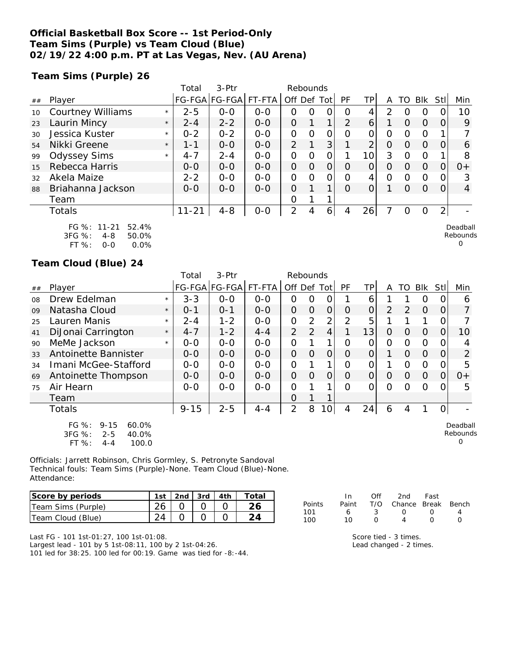### **Official Basketball Box Score -- 1st Period-Only Team Sims (Purple) vs Team Cloud (Blue) 02/19/22 4:00 p.m. PT at Las Vegas, Nev. (AU Arena)**

**Team Sims (Purple) 26**

|    |                                                    |         | Total     | 3-Ptr         |         | Rebounds    |          |          |               |     |   |          |          |                |                      |
|----|----------------------------------------------------|---------|-----------|---------------|---------|-------------|----------|----------|---------------|-----|---|----------|----------|----------------|----------------------|
| ## | Player                                             |         |           | FG-FGA FG-FGA | FT-FTA  | Off Def Tot |          |          | <b>PF</b>     | TP. | A | TO       | Blk      | Stl            | Min                  |
| 10 | <b>Courtney Williams</b>                           | $\star$ | $2 - 5$   | $0-0$         | $0 - 0$ | Ο           | 0        |          | Ω             | 4   | 2 |          | Ο        |                | 10                   |
| 23 | Laurin Mincy                                       | $\star$ | $2 - 4$   | $2 - 2$       | $0 - 0$ | $\Omega$    |          | 1        | $\mathcal{P}$ | 6   |   | $\Omega$ | $\Omega$ | Ω              | 9                    |
| 30 | Jessica Kuster                                     | $\star$ | $0 - 2$   | $0 - 2$       | $0 - 0$ | O           | $\Omega$ | $\Omega$ | Ω             | Ο   | 0 | Ω        | $\circ$  |                |                      |
| 54 | Nikki Greene                                       | $\star$ | $1 - 1$   | $0 - 0$       | $0 - 0$ | 2           |          | 3        |               | C   | 0 | Ω        | $\Omega$ | 0              | 6                    |
| 99 | <b>Odyssey Sims</b>                                | $\star$ | $4 - 7$   | $2 - 4$       | $0 - 0$ | 0           | $\Omega$ | 0        |               | 10  | 3 | 0        | 0        |                | 8                    |
| 15 | Rebecca Harris                                     |         | $O-O$     | $0 - 0$       | $0 - 0$ | 0           | $\Omega$ | 0        | Ω             | O   | O | Ω        | $\Omega$ |                | $0+$                 |
| 32 | Akela Maize                                        |         | $2 - 2$   | $0 - 0$       | $0 - 0$ | 0           | Ω        | 0        | Ω             | 4   | Ω | Ω        | 0        |                | 3                    |
| 88 | Briahanna Jackson                                  |         | $0 - 0$   | $0 - 0$       | $0 - 0$ | $\Omega$    |          | 1        | $\Omega$      | 0   |   | Ω        | $\Omega$ | 0              | 4                    |
|    | Team                                               |         |           |               |         | 0           |          |          |               |     |   |          |          |                |                      |
|    | Totals                                             |         | $11 - 21$ | $4 - 8$       | $0-0$   | 2           | 4        | 6        | 4             | 26  |   | Ω        | 0        | $\overline{2}$ |                      |
|    | FG %: 11-21<br>52.4%<br>3FG %:<br>$4 - 8$<br>50.0% |         |           |               |         |             |          |          |               |     |   |          |          |                | Deadball<br>Rebounds |

3FG %: 4-8 50.0% FT %: 0-0 0.0%

#### **Team Cloud (Blue) 24**

|    |                                                                                               |         | Total    | 3-Ptr         |         | Rebounds       |                |                |           |                |          |          |            |                  |                           |
|----|-----------------------------------------------------------------------------------------------|---------|----------|---------------|---------|----------------|----------------|----------------|-----------|----------------|----------|----------|------------|------------------|---------------------------|
| ## | Player                                                                                        |         |          | FG-FGA FG-FGA | FT-FTA  | Off Def Tot    |                |                | <b>PF</b> | TP             | A        | TO       | <b>Blk</b> | Stll             | Min                       |
| 08 | Drew Edelman                                                                                  | $\star$ | $3 - 3$  | $0 - 0$       | $0 - 0$ | 0              | O              | O              |           | 6              |          |          | O          | O                | 6                         |
| 09 | Natasha Cloud                                                                                 | $\star$ | $0 - 1$  | $O - 1$       | $0 - 0$ | $\overline{O}$ | $\overline{O}$ | $\overline{O}$ | $\Omega$  | $\overline{O}$ | 2        | 2        | $\Omega$   | 0                | 7                         |
| 25 | Lauren Manis                                                                                  | $\star$ | $2 - 4$  | $1 - 2$       | $0-0$   | $\overline{O}$ | 2              | 2              | 2         | 5              |          |          |            | 0                |                           |
| 41 | DiJonai Carrington                                                                            | $\star$ | $4 - 7$  | $1 - 2$       | $4 - 4$ | $\overline{2}$ | $\overline{2}$ | 4              |           | 13             | $\Omega$ | $\Omega$ | $\Omega$   | $\Omega$         | 10                        |
| 90 | MeMe Jackson                                                                                  | $\star$ | $0 - 0$  | $0-0$         | $0-0$   | $\overline{O}$ |                |                | Ο         | O              | 0        | $\Omega$ | O          | 0                | 4                         |
| 33 | Antoinette Bannister                                                                          |         | $0 - 0$  | $0 - 0$       | $0 - 0$ | $\overline{O}$ | $\Omega$       | $\overline{O}$ | O         | $\Omega$       |          | $\Omega$ | $\Omega$   | 0                | $\overline{2}$            |
| 34 | Imani McGee-Stafford                                                                          |         | $0-0$    | $0 - 0$       | $0 - 0$ | O              |                | 1              | $\Omega$  | 0              |          | $\Omega$ | O          | 0                | 5                         |
| 69 | Antoinette Thompson                                                                           |         | $0 - 0$  | $0 - 0$       | $0-0$   | $\Omega$       | $\overline{O}$ | $\overline{O}$ | $\Omega$  | $\overline{O}$ | $\Omega$ | $\Omega$ | $\Omega$   | $\overline{O}$   | $0+$                      |
| 75 | Air Hearn                                                                                     |         | $0 - 0$  | $0-0$         | $0-0$   | 0              |                |                | $\Omega$  | $\Omega$       | 0        | Ω        | O          | $\left( \right)$ | 5                         |
|    | Team                                                                                          |         |          |               |         | Ο              |                |                |           |                |          |          |            |                  |                           |
|    | Totals                                                                                        |         | $9 - 15$ | $2 - 5$       | $4 - 4$ | 2              | 8              | $\overline{0}$ | 4         | 24             | 6        | 4        |            | 0                |                           |
|    | $FG \%$ :<br>$9 - 15$<br>60.0%<br>$3FG \%$ :<br>40.0%<br>$2 - 5$<br>FT %:<br>100.0<br>$4 - 4$ |         |          |               |         |                |                |                |           |                |          |          |            |                  | Deadball<br>Rebounds<br>0 |

Officials: Jarrett Robinson, Chris Gormley, S. Petronyte Sandoval Technical fouls: Team Sims (Purple)-None. Team Cloud (Blue)-None. Attendance:

| Score by periods   |  |  | 1st   2nd   3rd   4th   Total |
|--------------------|--|--|-------------------------------|
| Team Sims (Purple) |  |  |                               |
| Team Cloud (Blue)  |  |  |                               |

|        | In. | Off    | 2nd                          | Fast             |  |
|--------|-----|--------|------------------------------|------------------|--|
| Points |     |        | Paint T/O Chance Break Bench |                  |  |
| 101    | 6   | $-3$   | $\left( \right)$             | $\left( \right)$ |  |
| 100    | 10  | $\cap$ | 4                            | <sup>n</sup>     |  |
|        |     |        |                              |                  |  |

0

Last FG - 101 1st-01:27, 100 1st-01:08. Largest lead - 101 by 5 1st-08:11, 100 by 2 1st-04:26. 101 led for 38:25. 100 led for 00:19. Game was tied for -8:-44. Score tied - 3 times. Lead changed - 2 times.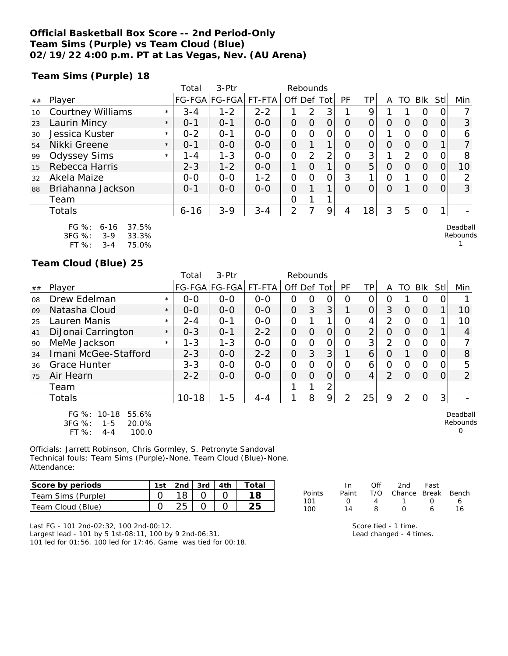### **Official Basketball Box Score -- 2nd Period-Only Team Sims (Purple) vs Team Cloud (Blue) 02/19/22 4:00 p.m. PT at Las Vegas, Nev. (AU Arena)**

**Team Sims (Purple) 18**

|    |                                                                                                               |         | Total    | 3-Ptr                 |         |             | Rebounds       |                |          |    |          |          |          |                  |                      |
|----|---------------------------------------------------------------------------------------------------------------|---------|----------|-----------------------|---------|-------------|----------------|----------------|----------|----|----------|----------|----------|------------------|----------------------|
| ## | Player                                                                                                        |         |          | FG-FGA FG-FGA  FT-FTA |         | Off Def Tot |                |                | PF       | ΤP | A        | TO       | Blk      | Stll             | Min                  |
| 10 | <b>Courtney Williams</b>                                                                                      | $\star$ | $3 - 4$  | $1 - 2$               | $2 - 2$ |             | $\overline{2}$ | 3              |          | 9  |          |          | $\circ$  |                  |                      |
| 23 | Laurin Mincy                                                                                                  | $\star$ | $0 - 1$  | $0 - 1$               | $0 - 0$ | $\Omega$    | O              | O              | O        | 0  | $\Omega$ | $\Omega$ | $\Omega$ | O                | 3                    |
| 30 | Jessica Kuster                                                                                                | $\star$ | $0 - 2$  | $O - 1$               | $0 - 0$ | O           | Ω              | Ο              | Ω        | 0  |          | $\Omega$ | 0        |                  | 6                    |
| 54 | Nikki Greene                                                                                                  | $\star$ | $0 - 1$  | $0 - 0$               | $0 - 0$ | $\Omega$    |                | 1 <sub>1</sub> | O        | 0  | $\Omega$ | 0        | $\Omega$ |                  |                      |
| 99 | <b>Odyssey Sims</b>                                                                                           | $\star$ | 1 - 4    | $1 - 3$               | $0 - 0$ | 0           | 2              | 2 <sub>1</sub> | Ω        | 3  |          | 2        | $\Omega$ |                  | 8                    |
| 15 | Rebecca Harris                                                                                                |         | $2 - 3$  | $1 - 2$               | $0 - 0$ | 1           | $\Omega$       | 1 <sub>1</sub> | $\Omega$ | 5  | 0        | $\Omega$ | $\Omega$ | 0                | 10                   |
| 32 | Akela Maize                                                                                                   |         | $0 - 0$  | $0 - 0$               | $1 - 2$ | O           | Ω              | 0              | 3        | 1  | Ο        |          | $\Omega$ |                  |                      |
| 88 | Briahanna Jackson                                                                                             |         | $0 - 1$  | $0 - 0$               | $0 - 0$ | $\Omega$    |                | 1.             | 0        | 0  | 0        |          | $\Omega$ | $\left( \right)$ | 3                    |
|    | Team                                                                                                          |         |          |                       |         | Ο           |                |                |          |    |          |          |          |                  |                      |
|    | Totals                                                                                                        |         | $6 - 16$ | $3 - 9$               | $3 - 4$ | 2           |                | 9              | 4        | 18 | 3        | 5        | 0        |                  |                      |
|    | 37.5%<br>$FG \%$ :<br>$6 - 16$<br>$3FG \%$ :<br>33.3%<br>$3-9$<br>$FT OZ$ .<br><b>75 0%</b><br>2 <sub>1</sub> |         |          |                       |         |             |                |                |          |    |          |          |          |                  | Deadball<br>Rebounds |

**Team Cloud (Blue) 25**

FT %: 3-4 75.0%

|    |                                                                                 |         | Total     | 3-Ptr                |         | Rebounds       |          |                |                |                |               |               |             |                |                           |
|----|---------------------------------------------------------------------------------|---------|-----------|----------------------|---------|----------------|----------|----------------|----------------|----------------|---------------|---------------|-------------|----------------|---------------------------|
| ## | Player                                                                          |         |           | FG-FGA FG-FGA FT-FTA |         | Off Def Tot    |          |                | <b>PF</b>      | <b>TP</b>      | A             |               | TO Blk Stll |                | Min                       |
| 08 | Drew Edelman                                                                    | $\star$ | $0 - 0$   | $0 - 0$              | $O-O$   | O              | Ο        | 0              | O              | 0              | Ω             |               | Ω           | Ω              |                           |
| 09 | Natasha Cloud                                                                   | $\star$ | $0 - 0$   | $0 - 0$              | $0 - 0$ | $\overline{O}$ | 3        | 3 <sup>1</sup> |                | $\Omega$       | 3             | 0             | $\Omega$    |                | 10                        |
| 25 | Lauren Manis                                                                    | $\star$ | $2 - 4$   | $O - 1$              | $0-0$   | 0              |          | 1              | O              | 4              | 2             | O             | O           |                | 10                        |
| 41 | DiJonai Carrington                                                              | $\star$ | $0 - 3$   | $0 - 1$              | $2 - 2$ | 0              | $\Omega$ | 0              | O              | $\overline{2}$ | 0             | 0             | $\Omega$    |                | 4                         |
| 90 | MeMe Jackson                                                                    | $\star$ | $1 - 3$   | $1 - 3$              | $O-O$   | $\Omega$       | 0        | O              | O              | 3 <sup>1</sup> | $\mathcal{P}$ | $\Omega$      | O           | 0              |                           |
| 34 | Imani McGee-Stafford                                                            |         | $2 - 3$   | $0 - 0$              | $2 - 2$ | $\Omega$       | 3        | 3              |                | 6              | $\Omega$      |               | $\Omega$    | 0              | 8                         |
| 36 | <b>Grace Hunter</b>                                                             |         | $3 - 3$   | $0 - 0$              | $0 - 0$ | $\overline{O}$ | O        | O              | O              | 6              | 0             | O             | O           | 0              | 5                         |
| 75 | Air Hearn                                                                       |         | $2 - 2$   | $0 - 0$              | $O-O$   | $\Omega$       | $\Omega$ | $\overline{O}$ | $\Omega$       | 4              | $\mathcal{P}$ | O             | $\Omega$    | 0              | $\overline{2}$            |
|    | Team                                                                            |         |           |                      |         |                |          | 2              |                |                |               |               |             |                |                           |
|    | <b>Totals</b>                                                                   |         | $10 - 18$ | $1 - 5$              | $4 - 4$ |                | 8        | 9              | $\overline{2}$ | 25             | 9             | $\mathcal{P}$ | O           | 3 <sup>1</sup> |                           |
|    | FG %: 10-18<br>55.6%<br>3FG %:<br>20.0%<br>$1 - 5$<br>FT %:<br>100.0<br>$4 - 4$ |         |           |                      |         |                |          |                |                |                |               |               |             |                | Deadball<br>Rebounds<br>O |

Officials: Jarrett Robinson, Chris Gormley, S. Petronyte Sandoval Technical fouls: Team Sims (Purple)-None. Team Cloud (Blue)-None. Attendance:

| Score by periods   | 1st $\vert$ 2nd $\vert$ 3rd $\vert$ 4th |  | Totai |
|--------------------|-----------------------------------------|--|-------|
| Team Sims (Purple) |                                         |  |       |
| Team Cloud (Blue)  |                                         |  |       |

In Off 2nd Fast Points Paint T/O Chance Break Bench 101 0 4 1 0 6 100 14 8 0 6 16

Last FG - 101 2nd-02:32, 100 2nd-00:12.

Largest lead - 101 by 5 1st-08:11, 100 by 9 2nd-06:31. 101 led for 01:56. 100 led for 17:46. Game was tied for 00:18.

| Score tied - 1 time. |  |  |
|----------------------|--|--|
|                      |  |  |

Lead changed - 4 times.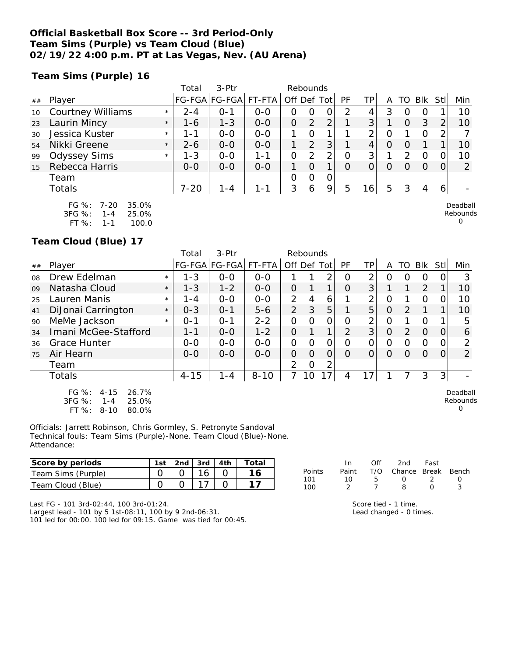### **Official Basketball Box Score -- 3rd Period-Only Team Sims (Purple) vs Team Cloud (Blue) 02/19/22 4:00 p.m. PT at Las Vegas, Nev. (AU Arena)**

**Team Sims (Purple) 16**

|    |                                                      |         | Total    | $3-Ptr$       |         |                | Rebounds       |   |          |          |          |               |            |          |                      |
|----|------------------------------------------------------|---------|----------|---------------|---------|----------------|----------------|---|----------|----------|----------|---------------|------------|----------|----------------------|
| ## | Player                                               |         |          | FG-FGA FG-FGA | FT-FTA  | Off Def Tot    |                |   | PF       | TPI      | Α        | TO            | <b>Blk</b> | Stll     | Min                  |
| 10 | <b>Courtney Williams</b>                             | $\star$ | $2 - 4$  | $0 - 1$       | $0-0$   | Ω              | O              |   | 2        | 4        | 3        |               | $\Omega$   |          | 10                   |
| 23 | Laurin Mincy                                         | $\star$ | 1-6      | $1 - 3$       | $0-0$   | $\overline{O}$ | 2              | 2 |          | 3        |          | $\Omega$      | 3          | 2        | 10                   |
| 30 | Jessica Kuster                                       | $\star$ | 1 - 1    | $0-0$         | $0-0$   |                | $\Omega$       |   |          | 2        | $\Omega$ |               | $\Omega$   | 2        |                      |
| 54 | Nikki Greene                                         | $\star$ | $2 - 6$  | $0 - 0$       | $0 - 0$ |                | $\overline{2}$ | 3 |          | 4        | $\circ$  | O             |            |          | 10                   |
| 99 | <b>Odyssey Sims</b>                                  | $\star$ | $1 - 3$  | $0-0$         | 1-1     | 0              | $\overline{2}$ | 2 | O        | 3        |          | $\mathcal{P}$ | $\Omega$   |          | 10                   |
| 15 | Rebecca Harris                                       |         | $0 - 0$  | $0 - 0$       | $0-0$   |                | $\Omega$       | 1 | $\Omega$ | $\Omega$ | $\Omega$ | $\cap$        | ∩          | $\Omega$ | 2                    |
|    | Team                                                 |         |          |               |         | $\Omega$       | 0              | 0 |          |          |          |               |            |          |                      |
|    | Totals                                               |         | $7 - 20$ | $1 - 4$       | 1-1     | 3              | 6              | 9 | 5        | 16       | 5        | 3             | 4          | 6        |                      |
|    | $FG \%$ :<br>35.0%<br>7-20<br>3FG %:<br>25.0%<br>1-4 |         |          |               |         |                |                |   |          |          |          |               |            |          | Deadball<br>Rebounds |

Rebounds  $\Omega$ 

Rebounds 0

**Team Cloud (Blue) 17**

FT %: 1-1 100.0

|    |                            |         | Total    | $3-Ptr$       |          |             | Rebounds |                 |               |    |          |               |            |      |                |
|----|----------------------------|---------|----------|---------------|----------|-------------|----------|-----------------|---------------|----|----------|---------------|------------|------|----------------|
| ## | Player                     |         |          | FG-FGA FG-FGA | FT-FTA   | Off Def Tot |          |                 | PF            | ТP | А        | TO            | <b>Blk</b> | Stll | Min            |
| 08 | Drew Edelman               | $\star$ | $1 - 3$  | $O-O$         | $0 - 0$  |             |          | 2               | $\Omega$      | 2  |          |               | $\Omega$   |      | 3              |
| 09 | Natasha Cloud              | $\star$ | $1 - 3$  | $1 - 2$       | $0 - 0$  | 0           |          |                 | $\Omega$      | 3  |          |               | 2          |      | 10             |
| 25 | Lauren Manis               | $\star$ | 1 - 4    | $0 - 0$       | $0 - 0$  | 2           | 4        | 6               |               | 2  | $\Omega$ |               | $\Omega$   |      | 10             |
| 41 | DiJonai Carrington         | $\star$ | $0 - 3$  | $0 - 1$       | $5 - 6$  | 2           | 3        | 5               |               | 5  | $\Omega$ | $\mathcal{P}$ |            |      | 10             |
| 90 | MeMe Jackson               | $\star$ | $0 - 1$  | $O - 1$       | $2 - 2$  | 0           | $\cap$   | 0               | $\Omega$      | 2  | $\Omega$ |               | $\circ$    |      | 5              |
| 34 | Imani McGee-Stafford       |         | $1 - 1$  | $0 - 0$       | $1 - 2$  | 0           |          | $\mathbf{1}$    | $\mathcal{P}$ | 3  | $\Omega$ | $\mathcal{D}$ | $\Omega$   |      | 6              |
| 36 | <b>Grace Hunter</b>        |         | $0 - 0$  | $0 - 0$       | $0 - 0$  | 0           | $\Omega$ | 0               | $\Omega$      | 0  | $\Omega$ | ∩             | $\Omega$   |      | 2              |
| 75 | Air Hearn                  |         | $0 - 0$  | $0 - 0$       | $0 - 0$  | 0           | $\Omega$ | $\Omega$        | ∩             |    | $\Omega$ | $\Omega$      | $\Omega$   |      | $\overline{2}$ |
|    | Team                       |         |          |               |          | 2           | O        | 2               |               |    |          |               |            |      |                |
|    | <b>Totals</b>              |         | $4 - 15$ | $1 - 4$       | $8 - 10$ | 7           | 10       | 17 <sub>1</sub> | 4             | 7  |          |               | 3          | 3    |                |
|    | FG %:<br>26.7%<br>$4 - 15$ |         |          |               |          |             |          |                 |               |    |          |               |            |      | Deadball       |

3FG %: 1-4 25.0% FT %: 8-10 80.0%

Officials: Jarrett Robinson, Chris Gormley, S. Petronyte Sandoval Technical fouls: Team Sims (Purple)-None. Team Cloud (Blue)-None. Attendance:

| Score by periods   | 1st | $\vert$ 2nd $\vert$ 3rd $\vert$ 4th $\vert$ |  | ์ Total |
|--------------------|-----|---------------------------------------------|--|---------|
| Team Sims (Purple) |     |                                             |  |         |
| Team Cloud (Blue)  |     |                                             |  |         |

|        | In.   | Off | 2nd -                  | Fast       |                  |
|--------|-------|-----|------------------------|------------|------------------|
| Points | Paint |     | T/O Chance Break Bench |            |                  |
| 101    | 1 O   | ь.  | $\left( \right)$       | $\cdot$    | $\left( \right)$ |
| 100    |       |     | Ω                      | $\sqrt{ }$ | -2               |

Score tied - 1 time. Lead changed - 0 times.

Last FG - 101 3rd-02:44, 100 3rd-01:24.

Largest lead - 101 by 5 1st-08:11, 100 by 9 2nd-06:31.

101 led for 00:00. 100 led for 09:15. Game was tied for 00:45.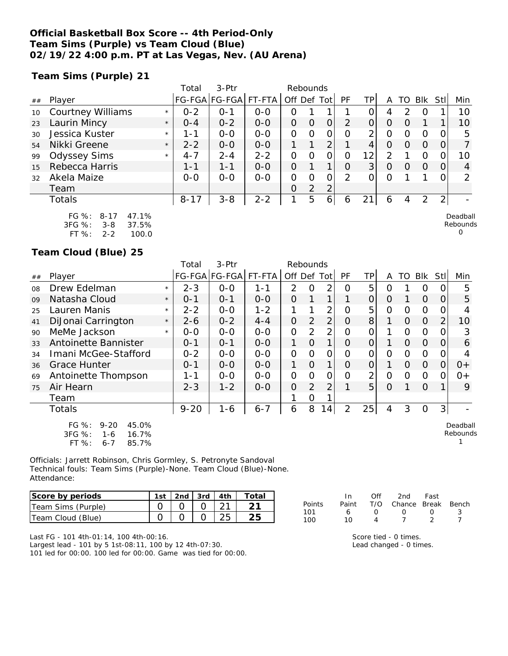### **Official Basketball Box Score -- 4th Period-Only Team Sims (Purple) vs Team Cloud (Blue) 02/19/22 4:00 p.m. PT at Las Vegas, Nev. (AU Arena)**

**Team Sims (Purple) 21**

|    |                          |         | Total    | $3-Ptr$       |         |                | Rebounds |                |          |                |   |          |            |              |          |
|----|--------------------------|---------|----------|---------------|---------|----------------|----------|----------------|----------|----------------|---|----------|------------|--------------|----------|
| ## | Player                   |         |          | FG-FGA FG-FGA | FT-FTA  | Off Def Tot    |          |                | PF       | TP             | Α | TO       | <b>BIK</b> | StII         | Min      |
| 10 | <b>Courtney Williams</b> | $\star$ | $0 - 2$  | 0-1           | $0 - 0$ | 0              |          |                |          |                | 4 |          |            |              | 10       |
| 23 | Laurin Mincy             | $\star$ | $O - 4$  | $0 - 2$       | $0 - 0$ | O              | 0        | $\overline{O}$ | 2        | 0              | O |          |            |              | 10       |
| 30 | Jessica Kuster           | $\star$ | 1 - 1    | $0 - 0$       | $0 - 0$ | O              | O        | 0              | O        | 2              | O |          | O          |              | 5        |
| 54 | Nikki Greene             | $\star$ | $2 - 2$  | $0 - 0$       | $0 - 0$ |                |          | 2              |          | 4              | O | $\left($ | O          | O            |          |
| 99 | <b>Odyssey Sims</b>      | $\star$ | $4 - 7$  | $2 - 4$       | $2 - 2$ | O              | O        | 0              | 0        | 12             | フ |          | O          |              | 10       |
| 15 | Rebecca Harris           |         | 1-1      | 1-1           | $0 - 0$ | $\Omega$       |          |                | $\Omega$ | 3 <sup>1</sup> | O | $\left($ | $\Omega$   | 0            | 4        |
| 32 | Akela Maize              |         | $0 - 0$  | $0 - 0$       | $0 - 0$ | O              | O        | 0              | 2        | Ω              | O |          |            |              | ∍        |
|    | Team                     |         |          |               |         | $\overline{O}$ | 2        | 2              |          |                |   |          |            |              |          |
|    | Totals                   |         | $8 - 17$ | $3 - 8$       | $2 - 2$ | 1              | 5        | 6              | 6        | 21             | 6 | 4        | 2          | $\mathbf{2}$ |          |
|    | FG %: 8-17<br>47.1%      |         |          |               |         |                |          |                |          |                |   |          |            |              | Deadball |

| FG $\%$ :  | 8-17    | 47.1% |
|------------|---------|-------|
| $3FG \%$ : | $3 - 8$ | 37.5% |
| FT $\%$ :  | 2-2     | 100.0 |

**Team Cloud (Blue) 25**

|    |                                                                                   |         | Total    | 3-Ptr         |         | Rebounds       |          |                |                |                |          |          |          |            |                      |
|----|-----------------------------------------------------------------------------------|---------|----------|---------------|---------|----------------|----------|----------------|----------------|----------------|----------|----------|----------|------------|----------------------|
| ## | Player                                                                            |         |          | FG-FGA FG-FGA | FT-FTA  | Off Def Tot    |          |                | <b>PF</b>      | ТP             | A        | TO       | Blk      | <b>Stl</b> | Min                  |
| 08 | Drew Edelman                                                                      | $\star$ | $2 - 3$  | $0 - 0$       | 1-1     | $\overline{2}$ | Ω        | 2              | Ω              | 5              | Ω        |          | O        |            | 5                    |
| 09 | Natasha Cloud                                                                     | $\star$ | $0 - 1$  | $0 - 1$       | $0 - 0$ | O              | 1        | $\mathbf 1$    |                | $\overline{O}$ | 0        |          | $\Omega$ | $\Omega$   | 5                    |
| 25 | Lauren Manis                                                                      | $\star$ | $2 - 2$  | $0-0$         | $1 - 2$ |                |          | 2              | Ο              | 5              | 0        | $\Omega$ | $\Omega$ | O          |                      |
| 41 | DiJonai Carrington                                                                | $\star$ | $2 - 6$  | $0 - 2$       | $4 - 4$ | $\overline{O}$ | 2        | $\overline{2}$ | 0              | 8              |          | $\Omega$ | $\Omega$ | 2          | 10                   |
| 90 | MeMe Jackson                                                                      | $\star$ | $0-0$    | $0-0$         | $0 - 0$ | $\Omega$       | 2        | 2 <sub>1</sub> | O              | 0              |          | $\Omega$ | $\Omega$ | O          | 3                    |
| 33 | Antoinette Bannister                                                              |         | $0 - 1$  | $0 - 1$       | $0 - 0$ | 1              | $\Omega$ | 1              | O              | 0              |          | $\Omega$ | $\Omega$ | $\Omega$   | 6                    |
| 34 | Imani McGee-Stafford                                                              |         | $0 - 2$  | $0 - 0$       | $0 - 0$ | O              | Ω        | Ω              | 0              | Ο              | 0        | 0        | $\Omega$ |            | 4                    |
| 36 | <b>Grace Hunter</b>                                                               |         | $0 - 1$  | $0-0$         | $0 - 0$ | 1.             | $\Omega$ | $\mathbf{1}$   | O              | 0              |          | $\Omega$ | $\Omega$ | $\Omega$   | $0+$                 |
| 69 | Antoinette Thompson                                                               |         | 1-1      | $0-0$         | $0-0$   | O              | Ο        | Ο              | 0              | 2              | 0        | 0        | $\Omega$ | O          | $0+$                 |
| 75 | Air Hearn                                                                         |         | $2 - 3$  | $1 - 2$       | $0 - 0$ | $\overline{O}$ | 2        | 2              |                | 5              | $\Omega$ |          | $\Omega$ |            | 9                    |
|    | Team                                                                              |         |          |               |         |                | O        |                |                |                |          |          |          |            |                      |
|    | <b>Totals</b>                                                                     |         | $9 - 20$ | $1 - 6$       | $6 - 7$ | 6              | 8        | 14             | $\overline{2}$ | 25             | 4        | 3        | $\Omega$ | 3          |                      |
|    | FG %:<br>45.0%<br>$9 - 20$<br>3FG %:<br>16.7%<br>1-6<br>FT %:<br>$6 - 7$<br>85.7% |         |          |               |         |                |          |                |                |                |          |          |          |            | Deadball<br>Rebounds |

Officials: Jarrett Robinson, Chris Gormley, S. Petronyte Sandoval Technical fouls: Team Sims (Purple)-None. Team Cloud (Blue)-None. Attendance:

| Score by periods   | 1st |  | $ 2nd $ 3rd $ 4th $ Total |
|--------------------|-----|--|---------------------------|
| Team Sims (Purple) |     |  |                           |
| Team Cloud (Blue)  |     |  |                           |

|        | In.   | Off              | 2nd                    | Fast             |    |
|--------|-------|------------------|------------------------|------------------|----|
| Points | Paint |                  | T/O Chance Break Bench |                  |    |
| 101    | 6     | $\left( \right)$ | $\left( \right)$       | $\left( \right)$ | -3 |
| 100    | 10    | Δ                |                        |                  |    |
|        |       |                  |                        |                  |    |

Rebounds 0

Last FG - 101 4th-01:14, 100 4th-00:16. Largest lead - 101 by 5 1st-08:11, 100 by 12 4th-07:30. 101 led for 00:00. 100 led for 00:00. Game was tied for 00:00. Score tied - 0 times. Lead changed - 0 times.